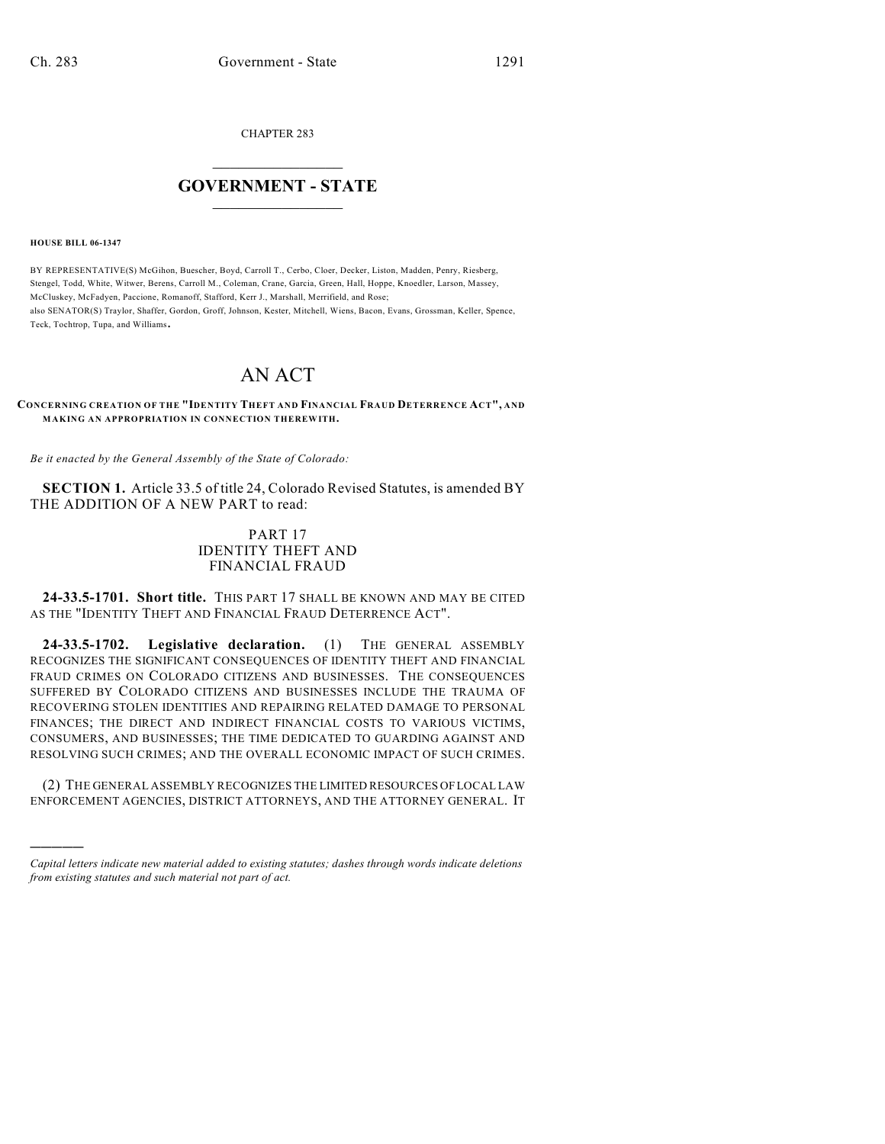CHAPTER 283

## $\mathcal{L}_\text{max}$  . The set of the set of the set of the set of the set of the set of the set of the set of the set of the set of the set of the set of the set of the set of the set of the set of the set of the set of the set **GOVERNMENT - STATE**  $\_$   $\_$   $\_$   $\_$   $\_$   $\_$   $\_$   $\_$   $\_$

**HOUSE BILL 06-1347**

)))))

BY REPRESENTATIVE(S) McGihon, Buescher, Boyd, Carroll T., Cerbo, Cloer, Decker, Liston, Madden, Penry, Riesberg, Stengel, Todd, White, Witwer, Berens, Carroll M., Coleman, Crane, Garcia, Green, Hall, Hoppe, Knoedler, Larson, Massey, McCluskey, McFadyen, Paccione, Romanoff, Stafford, Kerr J., Marshall, Merrifield, and Rose; also SENATOR(S) Traylor, Shaffer, Gordon, Groff, Johnson, Kester, Mitchell, Wiens, Bacon, Evans, Grossman, Keller, Spence, Teck, Tochtrop, Tupa, and Williams.

## AN ACT

**CONCERNING CREATION OF THE "IDENTITY THEFT AND FINANCIAL FRAUD DETERRENCE ACT", AND MAKING AN APPROPRIATION IN CONNECTION THEREWITH.**

*Be it enacted by the General Assembly of the State of Colorado:*

**SECTION 1.** Article 33.5 of title 24, Colorado Revised Statutes, is amended BY THE ADDITION OF A NEW PART to read:

## PART 17 IDENTITY THEFT AND FINANCIAL FRAUD

**24-33.5-1701. Short title.** THIS PART 17 SHALL BE KNOWN AND MAY BE CITED AS THE "IDENTITY THEFT AND FINANCIAL FRAUD DETERRENCE ACT".

**24-33.5-1702. Legislative declaration.** (1) THE GENERAL ASSEMBLY RECOGNIZES THE SIGNIFICANT CONSEQUENCES OF IDENTITY THEFT AND FINANCIAL FRAUD CRIMES ON COLORADO CITIZENS AND BUSINESSES. THE CONSEQUENCES SUFFERED BY COLORADO CITIZENS AND BUSINESSES INCLUDE THE TRAUMA OF RECOVERING STOLEN IDENTITIES AND REPAIRING RELATED DAMAGE TO PERSONAL FINANCES; THE DIRECT AND INDIRECT FINANCIAL COSTS TO VARIOUS VICTIMS, CONSUMERS, AND BUSINESSES; THE TIME DEDICATED TO GUARDING AGAINST AND RESOLVING SUCH CRIMES; AND THE OVERALL ECONOMIC IMPACT OF SUCH CRIMES.

(2) THE GENERAL ASSEMBLY RECOGNIZES THE LIMITED RESOURCES OF LOCAL LAW ENFORCEMENT AGENCIES, DISTRICT ATTORNEYS, AND THE ATTORNEY GENERAL. IT

*Capital letters indicate new material added to existing statutes; dashes through words indicate deletions from existing statutes and such material not part of act.*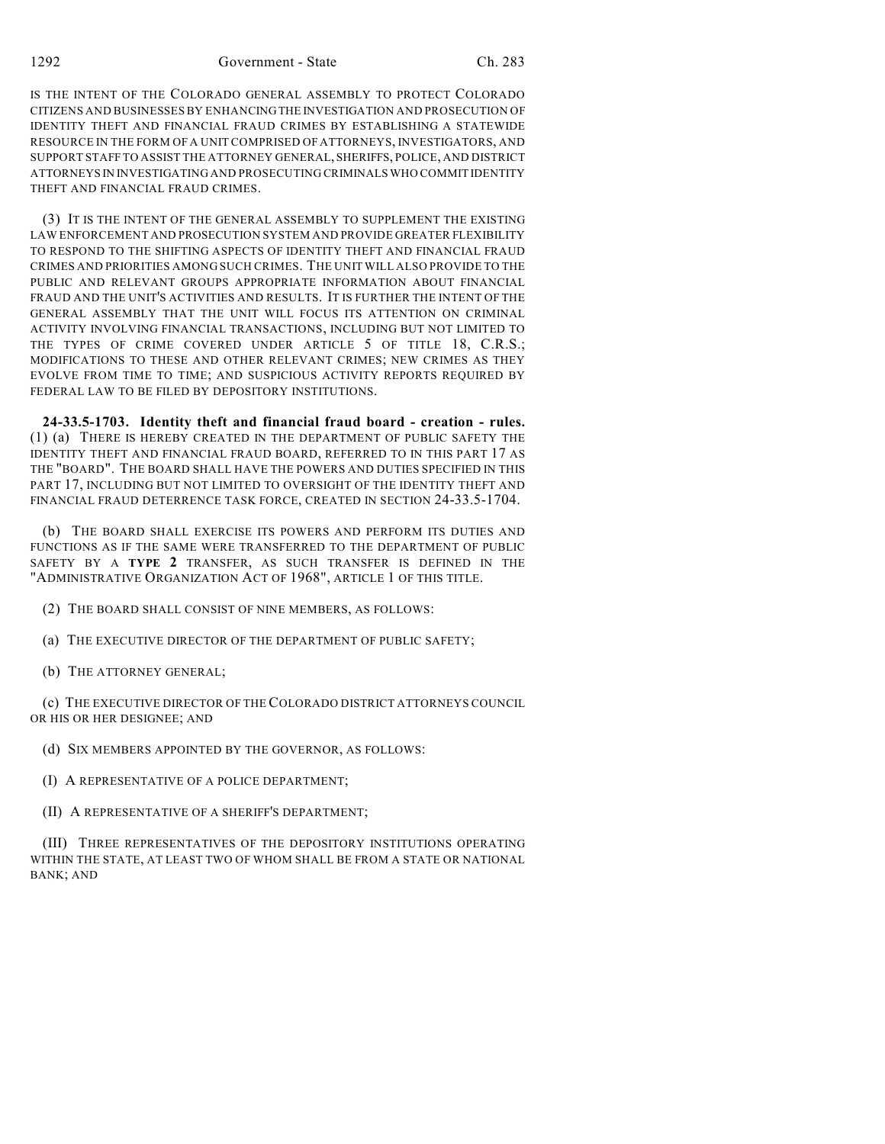IS THE INTENT OF THE COLORADO GENERAL ASSEMBLY TO PROTECT COLORADO CITIZENS AND BUSINESSES BY ENHANCING THE INVESTIGATION AND PROSECUTION OF IDENTITY THEFT AND FINANCIAL FRAUD CRIMES BY ESTABLISHING A STATEWIDE RESOURCE IN THE FORM OF A UNIT COMPRISED OF ATTORNEYS, INVESTIGATORS, AND SUPPORT STAFF TO ASSIST THE ATTORNEY GENERAL, SHERIFFS, POLICE, AND DISTRICT ATTORNEYS IN INVESTIGATING AND PROSECUTING CRIMINALS WHO COMMIT IDENTITY THEFT AND FINANCIAL FRAUD CRIMES.

(3) IT IS THE INTENT OF THE GENERAL ASSEMBLY TO SUPPLEMENT THE EXISTING LAW ENFORCEMENT AND PROSECUTION SYSTEM AND PROVIDE GREATER FLEXIBILITY TO RESPOND TO THE SHIFTING ASPECTS OF IDENTITY THEFT AND FINANCIAL FRAUD CRIMES AND PRIORITIES AMONG SUCH CRIMES. THE UNIT WILL ALSO PROVIDE TO THE PUBLIC AND RELEVANT GROUPS APPROPRIATE INFORMATION ABOUT FINANCIAL FRAUD AND THE UNIT'S ACTIVITIES AND RESULTS. IT IS FURTHER THE INTENT OF THE GENERAL ASSEMBLY THAT THE UNIT WILL FOCUS ITS ATTENTION ON CRIMINAL ACTIVITY INVOLVING FINANCIAL TRANSACTIONS, INCLUDING BUT NOT LIMITED TO THE TYPES OF CRIME COVERED UNDER ARTICLE 5 OF TITLE 18, C.R.S.; MODIFICATIONS TO THESE AND OTHER RELEVANT CRIMES; NEW CRIMES AS THEY EVOLVE FROM TIME TO TIME; AND SUSPICIOUS ACTIVITY REPORTS REQUIRED BY FEDERAL LAW TO BE FILED BY DEPOSITORY INSTITUTIONS.

**24-33.5-1703. Identity theft and financial fraud board - creation - rules.** (1) (a) THERE IS HEREBY CREATED IN THE DEPARTMENT OF PUBLIC SAFETY THE IDENTITY THEFT AND FINANCIAL FRAUD BOARD, REFERRED TO IN THIS PART 17 AS THE "BOARD". THE BOARD SHALL HAVE THE POWERS AND DUTIES SPECIFIED IN THIS PART 17, INCLUDING BUT NOT LIMITED TO OVERSIGHT OF THE IDENTITY THEFT AND FINANCIAL FRAUD DETERRENCE TASK FORCE, CREATED IN SECTION 24-33.5-1704.

(b) THE BOARD SHALL EXERCISE ITS POWERS AND PERFORM ITS DUTIES AND FUNCTIONS AS IF THE SAME WERE TRANSFERRED TO THE DEPARTMENT OF PUBLIC SAFETY BY A **TYPE 2** TRANSFER, AS SUCH TRANSFER IS DEFINED IN THE "ADMINISTRATIVE ORGANIZATION ACT OF 1968", ARTICLE 1 OF THIS TITLE.

- (2) THE BOARD SHALL CONSIST OF NINE MEMBERS, AS FOLLOWS:
- (a) THE EXECUTIVE DIRECTOR OF THE DEPARTMENT OF PUBLIC SAFETY;
- (b) THE ATTORNEY GENERAL;

(c) THE EXECUTIVE DIRECTOR OF THE COLORADO DISTRICT ATTORNEYS COUNCIL OR HIS OR HER DESIGNEE; AND

- (d) SIX MEMBERS APPOINTED BY THE GOVERNOR, AS FOLLOWS:
- (I) A REPRESENTATIVE OF A POLICE DEPARTMENT;
- (II) A REPRESENTATIVE OF A SHERIFF'S DEPARTMENT;

(III) THREE REPRESENTATIVES OF THE DEPOSITORY INSTITUTIONS OPERATING WITHIN THE STATE, AT LEAST TWO OF WHOM SHALL BE FROM A STATE OR NATIONAL BANK; AND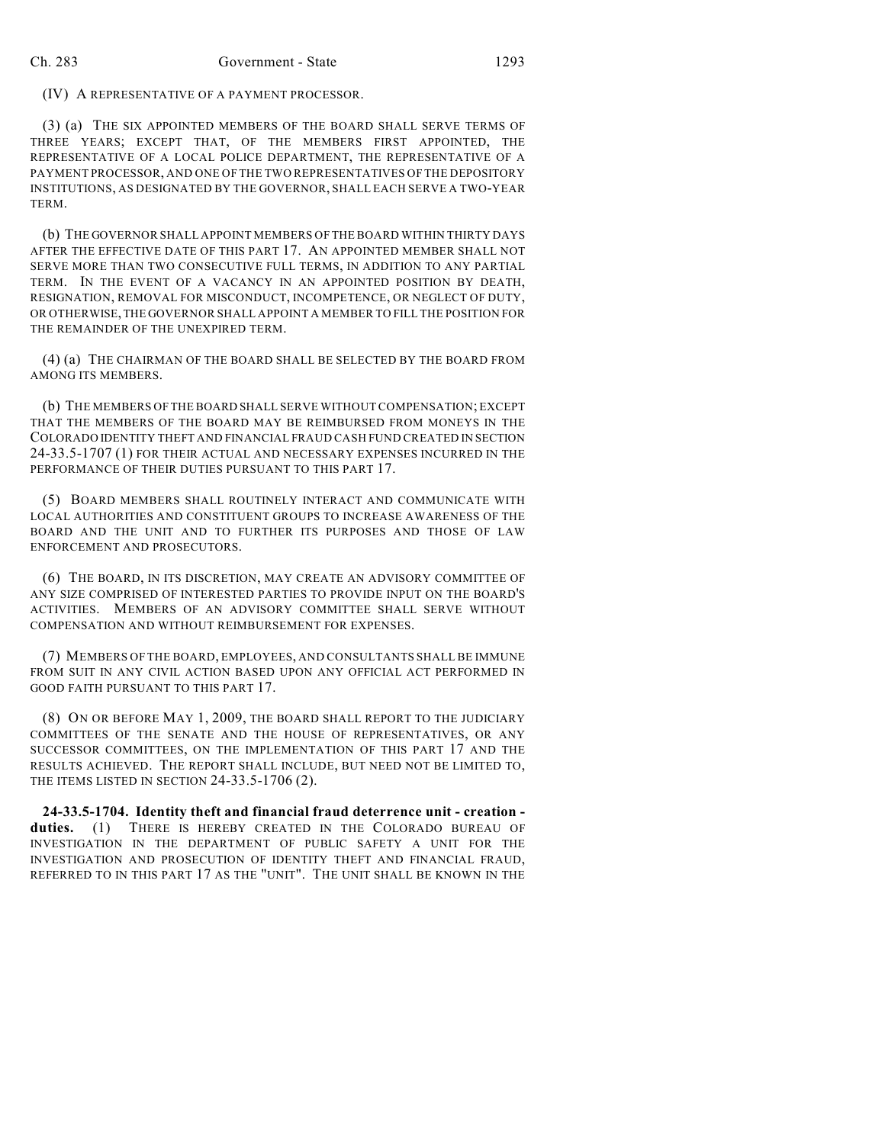(IV) A REPRESENTATIVE OF A PAYMENT PROCESSOR.

(3) (a) THE SIX APPOINTED MEMBERS OF THE BOARD SHALL SERVE TERMS OF THREE YEARS; EXCEPT THAT, OF THE MEMBERS FIRST APPOINTED, THE REPRESENTATIVE OF A LOCAL POLICE DEPARTMENT, THE REPRESENTATIVE OF A PAYMENT PROCESSOR, AND ONE OF THE TWO REPRESENTATIVES OF THE DEPOSITORY INSTITUTIONS, AS DESIGNATED BY THE GOVERNOR, SHALL EACH SERVE A TWO-YEAR TERM.

(b) THE GOVERNOR SHALL APPOINT MEMBERS OF THE BOARD WITHIN THIRTY DAYS AFTER THE EFFECTIVE DATE OF THIS PART 17. AN APPOINTED MEMBER SHALL NOT SERVE MORE THAN TWO CONSECUTIVE FULL TERMS, IN ADDITION TO ANY PARTIAL TERM. IN THE EVENT OF A VACANCY IN AN APPOINTED POSITION BY DEATH, RESIGNATION, REMOVAL FOR MISCONDUCT, INCOMPETENCE, OR NEGLECT OF DUTY, OR OTHERWISE, THE GOVERNOR SHALL APPOINT A MEMBER TO FILL THE POSITION FOR THE REMAINDER OF THE UNEXPIRED TERM.

(4) (a) THE CHAIRMAN OF THE BOARD SHALL BE SELECTED BY THE BOARD FROM AMONG ITS MEMBERS.

(b) THE MEMBERS OF THE BOARD SHALL SERVE WITHOUT COMPENSATION; EXCEPT THAT THE MEMBERS OF THE BOARD MAY BE REIMBURSED FROM MONEYS IN THE COLORADO IDENTITY THEFT AND FINANCIAL FRAUD CASH FUND CREATED IN SECTION 24-33.5-1707 (1) FOR THEIR ACTUAL AND NECESSARY EXPENSES INCURRED IN THE PERFORMANCE OF THEIR DUTIES PURSUANT TO THIS PART 17.

(5) BOARD MEMBERS SHALL ROUTINELY INTERACT AND COMMUNICATE WITH LOCAL AUTHORITIES AND CONSTITUENT GROUPS TO INCREASE AWARENESS OF THE BOARD AND THE UNIT AND TO FURTHER ITS PURPOSES AND THOSE OF LAW ENFORCEMENT AND PROSECUTORS.

(6) THE BOARD, IN ITS DISCRETION, MAY CREATE AN ADVISORY COMMITTEE OF ANY SIZE COMPRISED OF INTERESTED PARTIES TO PROVIDE INPUT ON THE BOARD'S ACTIVITIES. MEMBERS OF AN ADVISORY COMMITTEE SHALL SERVE WITHOUT COMPENSATION AND WITHOUT REIMBURSEMENT FOR EXPENSES.

(7) MEMBERS OF THE BOARD, EMPLOYEES, AND CONSULTANTS SHALL BE IMMUNE FROM SUIT IN ANY CIVIL ACTION BASED UPON ANY OFFICIAL ACT PERFORMED IN GOOD FAITH PURSUANT TO THIS PART 17.

(8) ON OR BEFORE MAY 1, 2009, THE BOARD SHALL REPORT TO THE JUDICIARY COMMITTEES OF THE SENATE AND THE HOUSE OF REPRESENTATIVES, OR ANY SUCCESSOR COMMITTEES, ON THE IMPLEMENTATION OF THIS PART 17 AND THE RESULTS ACHIEVED. THE REPORT SHALL INCLUDE, BUT NEED NOT BE LIMITED TO, THE ITEMS LISTED IN SECTION 24-33.5-1706 (2).

**24-33.5-1704. Identity theft and financial fraud deterrence unit - creation duties.** (1) THERE IS HEREBY CREATED IN THE COLORADO BUREAU OF INVESTIGATION IN THE DEPARTMENT OF PUBLIC SAFETY A UNIT FOR THE INVESTIGATION AND PROSECUTION OF IDENTITY THEFT AND FINANCIAL FRAUD, REFERRED TO IN THIS PART 17 AS THE "UNIT". THE UNIT SHALL BE KNOWN IN THE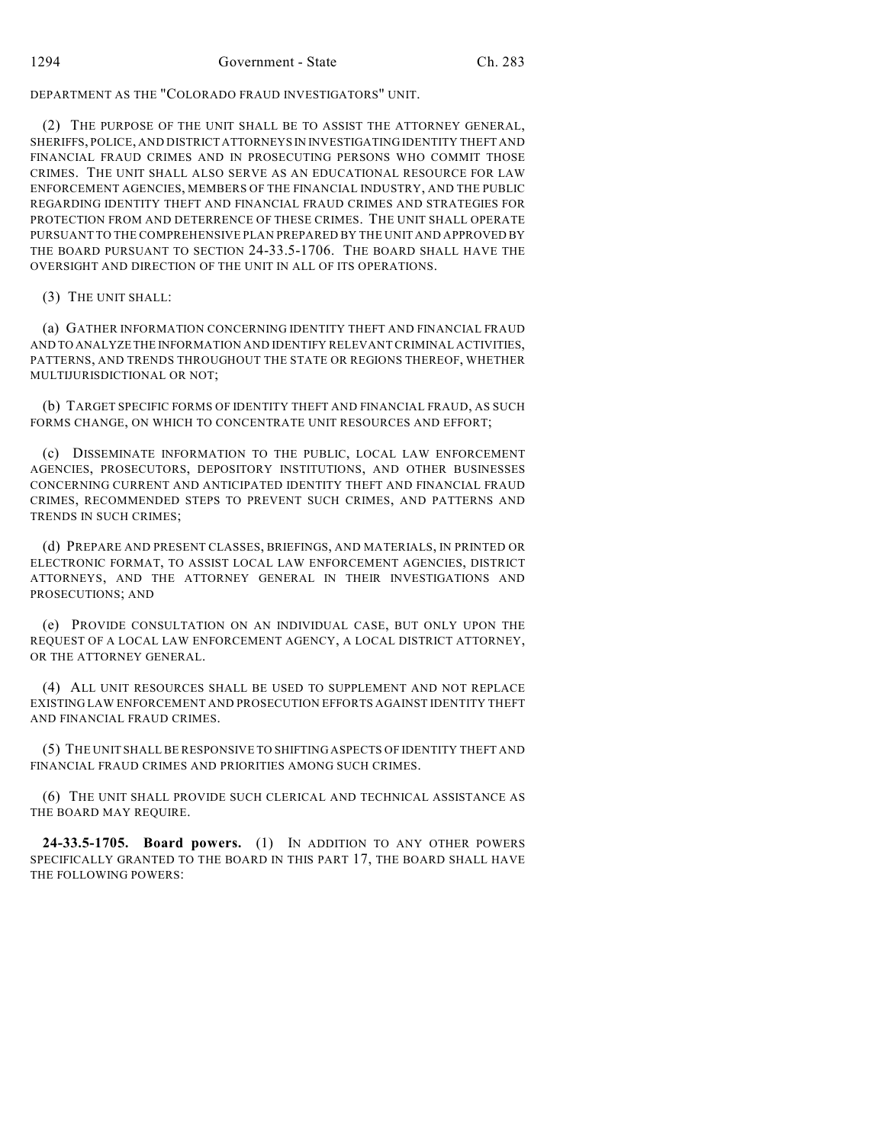DEPARTMENT AS THE "COLORADO FRAUD INVESTIGATORS" UNIT.

(2) THE PURPOSE OF THE UNIT SHALL BE TO ASSIST THE ATTORNEY GENERAL, SHERIFFS, POLICE, AND DISTRICT ATTORNEYS IN INVESTIGATING IDENTITY THEFT AND FINANCIAL FRAUD CRIMES AND IN PROSECUTING PERSONS WHO COMMIT THOSE CRIMES. THE UNIT SHALL ALSO SERVE AS AN EDUCATIONAL RESOURCE FOR LAW ENFORCEMENT AGENCIES, MEMBERS OF THE FINANCIAL INDUSTRY, AND THE PUBLIC REGARDING IDENTITY THEFT AND FINANCIAL FRAUD CRIMES AND STRATEGIES FOR PROTECTION FROM AND DETERRENCE OF THESE CRIMES. THE UNIT SHALL OPERATE PURSUANT TO THE COMPREHENSIVE PLAN PREPARED BY THE UNIT AND APPROVED BY THE BOARD PURSUANT TO SECTION 24-33.5-1706. THE BOARD SHALL HAVE THE OVERSIGHT AND DIRECTION OF THE UNIT IN ALL OF ITS OPERATIONS.

(3) THE UNIT SHALL:

(a) GATHER INFORMATION CONCERNING IDENTITY THEFT AND FINANCIAL FRAUD AND TO ANALYZE THE INFORMATION AND IDENTIFY RELEVANT CRIMINAL ACTIVITIES, PATTERNS, AND TRENDS THROUGHOUT THE STATE OR REGIONS THEREOF, WHETHER MULTIJURISDICTIONAL OR NOT;

(b) TARGET SPECIFIC FORMS OF IDENTITY THEFT AND FINANCIAL FRAUD, AS SUCH FORMS CHANGE, ON WHICH TO CONCENTRATE UNIT RESOURCES AND EFFORT;

(c) DISSEMINATE INFORMATION TO THE PUBLIC, LOCAL LAW ENFORCEMENT AGENCIES, PROSECUTORS, DEPOSITORY INSTITUTIONS, AND OTHER BUSINESSES CONCERNING CURRENT AND ANTICIPATED IDENTITY THEFT AND FINANCIAL FRAUD CRIMES, RECOMMENDED STEPS TO PREVENT SUCH CRIMES, AND PATTERNS AND TRENDS IN SUCH CRIMES;

(d) PREPARE AND PRESENT CLASSES, BRIEFINGS, AND MATERIALS, IN PRINTED OR ELECTRONIC FORMAT, TO ASSIST LOCAL LAW ENFORCEMENT AGENCIES, DISTRICT ATTORNEYS, AND THE ATTORNEY GENERAL IN THEIR INVESTIGATIONS AND PROSECUTIONS; AND

(e) PROVIDE CONSULTATION ON AN INDIVIDUAL CASE, BUT ONLY UPON THE REQUEST OF A LOCAL LAW ENFORCEMENT AGENCY, A LOCAL DISTRICT ATTORNEY, OR THE ATTORNEY GENERAL.

(4) ALL UNIT RESOURCES SHALL BE USED TO SUPPLEMENT AND NOT REPLACE EXISTING LAW ENFORCEMENT AND PROSECUTION EFFORTS AGAINST IDENTITY THEFT AND FINANCIAL FRAUD CRIMES.

(5) THE UNIT SHALL BE RESPONSIVE TO SHIFTING ASPECTS OF IDENTITY THEFT AND FINANCIAL FRAUD CRIMES AND PRIORITIES AMONG SUCH CRIMES.

(6) THE UNIT SHALL PROVIDE SUCH CLERICAL AND TECHNICAL ASSISTANCE AS THE BOARD MAY REQUIRE.

**24-33.5-1705. Board powers.** (1) IN ADDITION TO ANY OTHER POWERS SPECIFICALLY GRANTED TO THE BOARD IN THIS PART 17, THE BOARD SHALL HAVE THE FOLLOWING POWERS: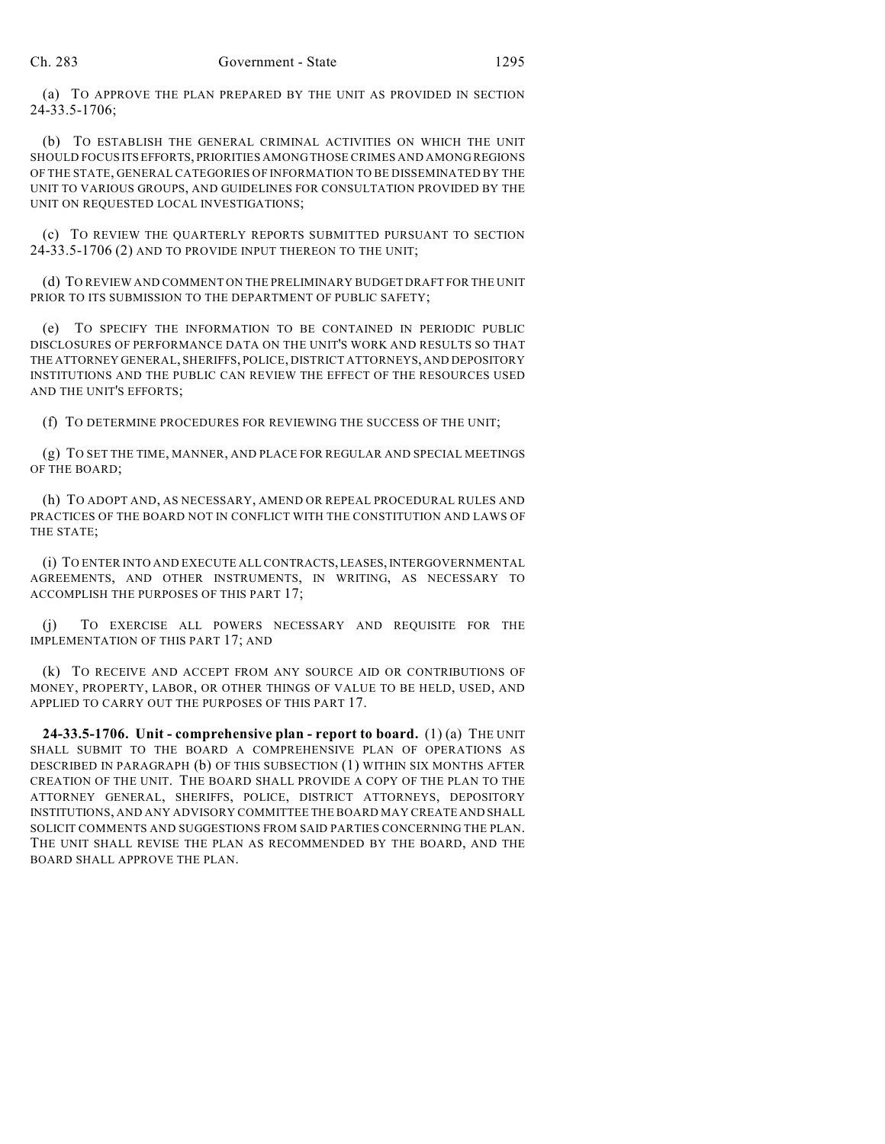(a) TO APPROVE THE PLAN PREPARED BY THE UNIT AS PROVIDED IN SECTION 24-33.5-1706;

(b) TO ESTABLISH THE GENERAL CRIMINAL ACTIVITIES ON WHICH THE UNIT SHOULD FOCUS ITS EFFORTS, PRIORITIES AMONG THOSE CRIMES AND AMONG REGIONS OF THE STATE, GENERAL CATEGORIES OF INFORMATION TO BE DISSEMINATED BY THE UNIT TO VARIOUS GROUPS, AND GUIDELINES FOR CONSULTATION PROVIDED BY THE UNIT ON REQUESTED LOCAL INVESTIGATIONS;

(c) TO REVIEW THE QUARTERLY REPORTS SUBMITTED PURSUANT TO SECTION 24-33.5-1706 (2) AND TO PROVIDE INPUT THEREON TO THE UNIT;

(d) TO REVIEW AND COMMENT ON THE PRELIMINARY BUDGET DRAFT FOR THE UNIT PRIOR TO ITS SUBMISSION TO THE DEPARTMENT OF PUBLIC SAFETY;

(e) TO SPECIFY THE INFORMATION TO BE CONTAINED IN PERIODIC PUBLIC DISCLOSURES OF PERFORMANCE DATA ON THE UNIT'S WORK AND RESULTS SO THAT THE ATTORNEY GENERAL, SHERIFFS, POLICE, DISTRICT ATTORNEYS, AND DEPOSITORY INSTITUTIONS AND THE PUBLIC CAN REVIEW THE EFFECT OF THE RESOURCES USED AND THE UNIT'S EFFORTS;

(f) TO DETERMINE PROCEDURES FOR REVIEWING THE SUCCESS OF THE UNIT;

(g) TO SET THE TIME, MANNER, AND PLACE FOR REGULAR AND SPECIAL MEETINGS OF THE BOARD;

(h) TO ADOPT AND, AS NECESSARY, AMEND OR REPEAL PROCEDURAL RULES AND PRACTICES OF THE BOARD NOT IN CONFLICT WITH THE CONSTITUTION AND LAWS OF THE STATE;

(i) TO ENTER INTO AND EXECUTE ALL CONTRACTS, LEASES, INTERGOVERNMENTAL AGREEMENTS, AND OTHER INSTRUMENTS, IN WRITING, AS NECESSARY TO ACCOMPLISH THE PURPOSES OF THIS PART 17;

(j) TO EXERCISE ALL POWERS NECESSARY AND REQUISITE FOR THE IMPLEMENTATION OF THIS PART 17; AND

(k) TO RECEIVE AND ACCEPT FROM ANY SOURCE AID OR CONTRIBUTIONS OF MONEY, PROPERTY, LABOR, OR OTHER THINGS OF VALUE TO BE HELD, USED, AND APPLIED TO CARRY OUT THE PURPOSES OF THIS PART 17.

**24-33.5-1706. Unit - comprehensive plan - report to board.** (1) (a) THE UNIT SHALL SUBMIT TO THE BOARD A COMPREHENSIVE PLAN OF OPERATIONS AS DESCRIBED IN PARAGRAPH (b) OF THIS SUBSECTION (1) WITHIN SIX MONTHS AFTER CREATION OF THE UNIT. THE BOARD SHALL PROVIDE A COPY OF THE PLAN TO THE ATTORNEY GENERAL, SHERIFFS, POLICE, DISTRICT ATTORNEYS, DEPOSITORY INSTITUTIONS, AND ANY ADVISORY COMMITTEE THE BOARD MAY CREATE AND SHALL SOLICIT COMMENTS AND SUGGESTIONS FROM SAID PARTIES CONCERNING THE PLAN. THE UNIT SHALL REVISE THE PLAN AS RECOMMENDED BY THE BOARD, AND THE BOARD SHALL APPROVE THE PLAN.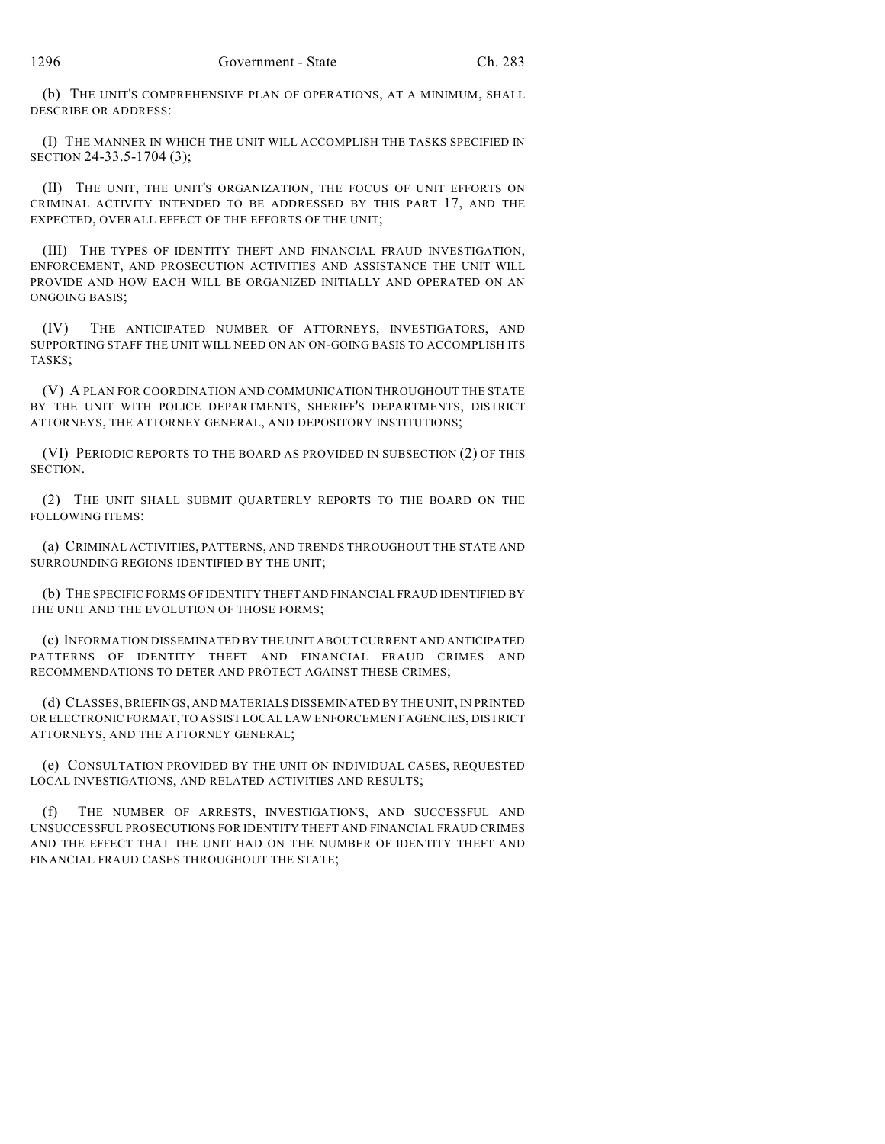(b) THE UNIT'S COMPREHENSIVE PLAN OF OPERATIONS, AT A MINIMUM, SHALL DESCRIBE OR ADDRESS:

(I) THE MANNER IN WHICH THE UNIT WILL ACCOMPLISH THE TASKS SPECIFIED IN SECTION 24-33.5-1704 (3);

(II) THE UNIT, THE UNIT'S ORGANIZATION, THE FOCUS OF UNIT EFFORTS ON CRIMINAL ACTIVITY INTENDED TO BE ADDRESSED BY THIS PART 17, AND THE EXPECTED, OVERALL EFFECT OF THE EFFORTS OF THE UNIT;

(III) THE TYPES OF IDENTITY THEFT AND FINANCIAL FRAUD INVESTIGATION, ENFORCEMENT, AND PROSECUTION ACTIVITIES AND ASSISTANCE THE UNIT WILL PROVIDE AND HOW EACH WILL BE ORGANIZED INITIALLY AND OPERATED ON AN ONGOING BASIS;

(IV) THE ANTICIPATED NUMBER OF ATTORNEYS, INVESTIGATORS, AND SUPPORTING STAFF THE UNIT WILL NEED ON AN ON-GOING BASIS TO ACCOMPLISH ITS TASKS;

(V) A PLAN FOR COORDINATION AND COMMUNICATION THROUGHOUT THE STATE BY THE UNIT WITH POLICE DEPARTMENTS, SHERIFF'S DEPARTMENTS, DISTRICT ATTORNEYS, THE ATTORNEY GENERAL, AND DEPOSITORY INSTITUTIONS;

(VI) PERIODIC REPORTS TO THE BOARD AS PROVIDED IN SUBSECTION (2) OF THIS SECTION.

(2) THE UNIT SHALL SUBMIT QUARTERLY REPORTS TO THE BOARD ON THE FOLLOWING ITEMS:

(a) CRIMINAL ACTIVITIES, PATTERNS, AND TRENDS THROUGHOUT THE STATE AND SURROUNDING REGIONS IDENTIFIED BY THE UNIT;

(b) THE SPECIFIC FORMS OF IDENTITY THEFT AND FINANCIAL FRAUD IDENTIFIED BY THE UNIT AND THE EVOLUTION OF THOSE FORMS;

(c) INFORMATION DISSEMINATED BY THE UNIT ABOUT CURRENT AND ANTICIPATED PATTERNS OF IDENTITY THEFT AND FINANCIAL FRAUD CRIMES AND RECOMMENDATIONS TO DETER AND PROTECT AGAINST THESE CRIMES;

(d) CLASSES, BRIEFINGS, AND MATERIALS DISSEMINATED BY THE UNIT, IN PRINTED OR ELECTRONIC FORMAT, TO ASSIST LOCAL LAW ENFORCEMENT AGENCIES, DISTRICT ATTORNEYS, AND THE ATTORNEY GENERAL;

(e) CONSULTATION PROVIDED BY THE UNIT ON INDIVIDUAL CASES, REQUESTED LOCAL INVESTIGATIONS, AND RELATED ACTIVITIES AND RESULTS;

(f) THE NUMBER OF ARRESTS, INVESTIGATIONS, AND SUCCESSFUL AND UNSUCCESSFUL PROSECUTIONS FOR IDENTITY THEFT AND FINANCIAL FRAUD CRIMES AND THE EFFECT THAT THE UNIT HAD ON THE NUMBER OF IDENTITY THEFT AND FINANCIAL FRAUD CASES THROUGHOUT THE STATE;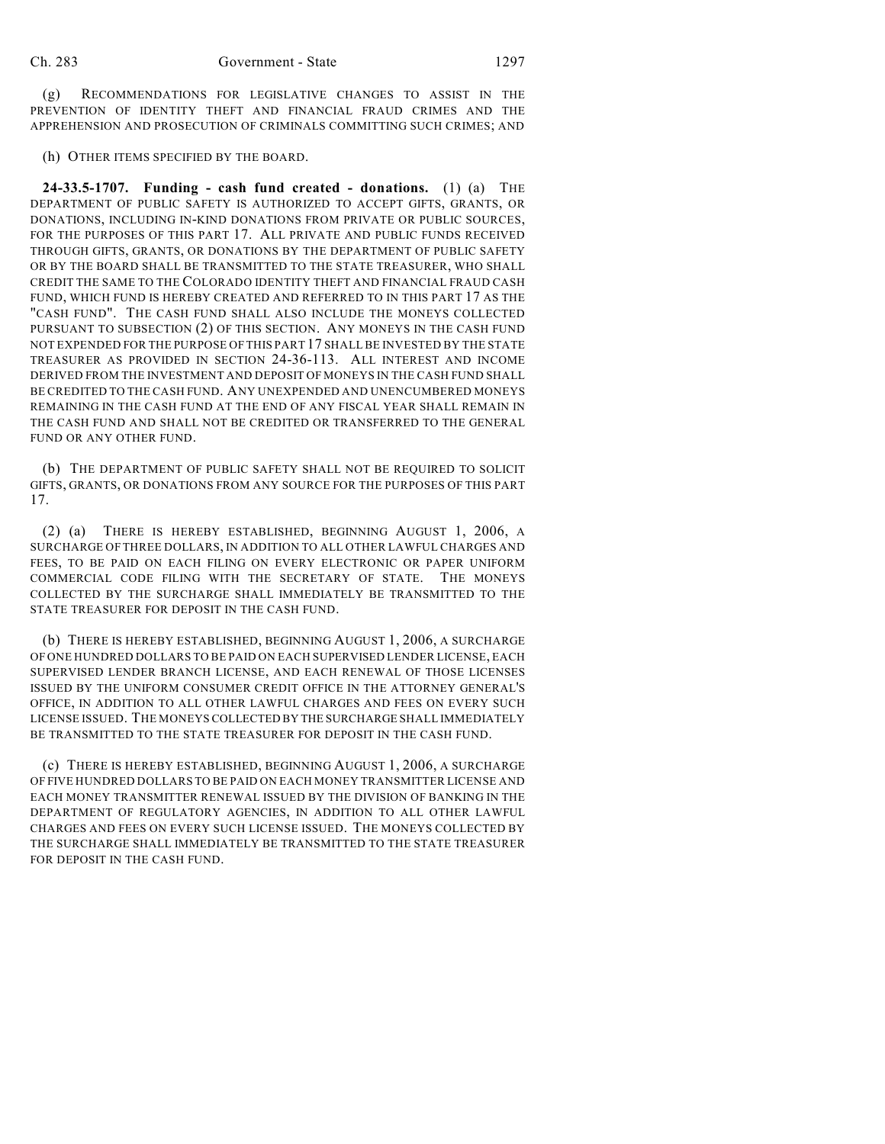(g) RECOMMENDATIONS FOR LEGISLATIVE CHANGES TO ASSIST IN THE PREVENTION OF IDENTITY THEFT AND FINANCIAL FRAUD CRIMES AND THE APPREHENSION AND PROSECUTION OF CRIMINALS COMMITTING SUCH CRIMES; AND

(h) OTHER ITEMS SPECIFIED BY THE BOARD.

**24-33.5-1707. Funding - cash fund created - donations.** (1) (a) THE DEPARTMENT OF PUBLIC SAFETY IS AUTHORIZED TO ACCEPT GIFTS, GRANTS, OR DONATIONS, INCLUDING IN-KIND DONATIONS FROM PRIVATE OR PUBLIC SOURCES, FOR THE PURPOSES OF THIS PART 17. ALL PRIVATE AND PUBLIC FUNDS RECEIVED THROUGH GIFTS, GRANTS, OR DONATIONS BY THE DEPARTMENT OF PUBLIC SAFETY OR BY THE BOARD SHALL BE TRANSMITTED TO THE STATE TREASURER, WHO SHALL CREDIT THE SAME TO THE COLORADO IDENTITY THEFT AND FINANCIAL FRAUD CASH FUND, WHICH FUND IS HEREBY CREATED AND REFERRED TO IN THIS PART 17 AS THE "CASH FUND". THE CASH FUND SHALL ALSO INCLUDE THE MONEYS COLLECTED PURSUANT TO SUBSECTION (2) OF THIS SECTION. ANY MONEYS IN THE CASH FUND NOT EXPENDED FOR THE PURPOSE OF THIS PART 17 SHALL BE INVESTED BY THE STATE TREASURER AS PROVIDED IN SECTION 24-36-113. ALL INTEREST AND INCOME DERIVED FROM THE INVESTMENT AND DEPOSIT OF MONEYS IN THE CASH FUND SHALL BE CREDITED TO THE CASH FUND. ANY UNEXPENDED AND UNENCUMBERED MONEYS REMAINING IN THE CASH FUND AT THE END OF ANY FISCAL YEAR SHALL REMAIN IN THE CASH FUND AND SHALL NOT BE CREDITED OR TRANSFERRED TO THE GENERAL FUND OR ANY OTHER FUND.

(b) THE DEPARTMENT OF PUBLIC SAFETY SHALL NOT BE REQUIRED TO SOLICIT GIFTS, GRANTS, OR DONATIONS FROM ANY SOURCE FOR THE PURPOSES OF THIS PART 17.

(2) (a) THERE IS HEREBY ESTABLISHED, BEGINNING AUGUST 1, 2006, A SURCHARGE OF THREE DOLLARS, IN ADDITION TO ALL OTHER LAWFUL CHARGES AND FEES, TO BE PAID ON EACH FILING ON EVERY ELECTRONIC OR PAPER UNIFORM COMMERCIAL CODE FILING WITH THE SECRETARY OF STATE. THE MONEYS COLLECTED BY THE SURCHARGE SHALL IMMEDIATELY BE TRANSMITTED TO THE STATE TREASURER FOR DEPOSIT IN THE CASH FUND.

(b) THERE IS HEREBY ESTABLISHED, BEGINNING AUGUST 1, 2006, A SURCHARGE OF ONE HUNDRED DOLLARS TO BE PAID ON EACH SUPERVISED LENDER LICENSE, EACH SUPERVISED LENDER BRANCH LICENSE, AND EACH RENEWAL OF THOSE LICENSES ISSUED BY THE UNIFORM CONSUMER CREDIT OFFICE IN THE ATTORNEY GENERAL'S OFFICE, IN ADDITION TO ALL OTHER LAWFUL CHARGES AND FEES ON EVERY SUCH LICENSE ISSUED. THE MONEYS COLLECTED BY THE SURCHARGE SHALL IMMEDIATELY BE TRANSMITTED TO THE STATE TREASURER FOR DEPOSIT IN THE CASH FUND.

(c) THERE IS HEREBY ESTABLISHED, BEGINNING AUGUST 1, 2006, A SURCHARGE OF FIVE HUNDRED DOLLARS TO BE PAID ON EACH MONEY TRANSMITTER LICENSE AND EACH MONEY TRANSMITTER RENEWAL ISSUED BY THE DIVISION OF BANKING IN THE DEPARTMENT OF REGULATORY AGENCIES, IN ADDITION TO ALL OTHER LAWFUL CHARGES AND FEES ON EVERY SUCH LICENSE ISSUED. THE MONEYS COLLECTED BY THE SURCHARGE SHALL IMMEDIATELY BE TRANSMITTED TO THE STATE TREASURER FOR DEPOSIT IN THE CASH FUND.